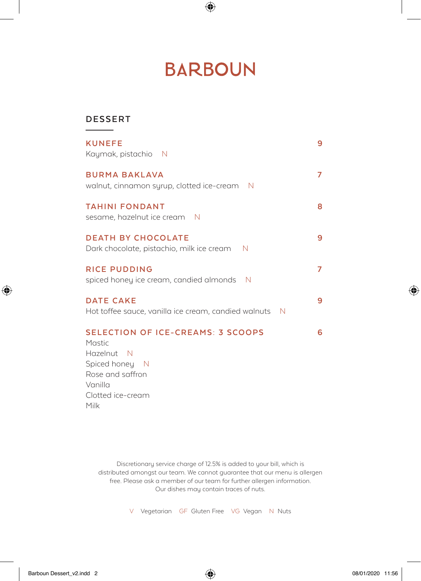# **BARBOUN**

 $\bigoplus$ 

### **DESSERT**

| <b>KUNEFE</b><br>Kaymak, pistachio N                                            | 9 |
|---------------------------------------------------------------------------------|---|
| <b>BURMA BAKLAVA</b><br>walnut, cinnamon syrup, clotted ice-cream<br>- N        | 7 |
| <b>TAHINI FONDANT</b><br>sesame, hazelnut ice cream N                           | 8 |
| <b>DEATH BY CHOCOLATE</b><br>Dark chocolate, pistachio, milk ice cream<br>N     | 9 |
| <b>RICE PUDDING</b><br>spiced honey ice cream, candied almonds<br>- N           | 7 |
| <b>DATE CAKE</b><br>Hot toffee sauce, vanilla ice cream, candied walnuts<br>- N | 9 |
| <b>SELECTION OF ICE-CREAMS: 3 SCOOPS</b>                                        | 6 |

Mastic Hazelnut N Spiced honey N Rose and saffron Vanilla Clotted ice-cream Milk

> Discretionary service charge of 12.5% is added to your bill, which is distributed amongst our team. We cannot guarantee that our menu is allergen free. Please ask a member of our team for further allergen information. Our dishes may contain traces of nuts.

> > V Vegetarian GF Gluten Free VG Vegan N Nuts

Barboun Dessert\_v2.indd 2 08/01/2020 11:56

 $\bigoplus$ 

⊕